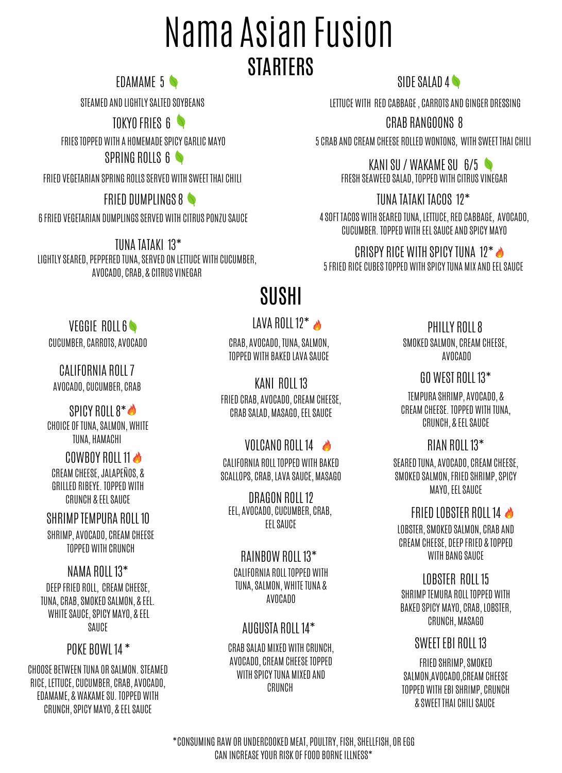# Nama Asian Fusion **STARTERS**

EDAMAME 5

STEAMED AND LIGHTLY SALTED SOYBEANS

TOKYO FRIES 6

SPRING ROLLS 6 FRIESTOPPED WITH A HOMEMADESPICY GARLIC MAYO

FRIED VEGETARIAN SPRING ROLLSSERVED WITH SWEET THAI CHILI

### FRIED DUMPLINGS 8

6FRIED VEGETARIAN DUMPLINGSSERVED WITH CITRUS PONZU SAUCE

LIGHTLYSEARED, PEPPERED TUNA,SERVED ON LETTUCE WITH CUCUMBER, AVOCADO, CRAB, & CITRUS VINEGAR TUNA TATAKI 13\*

SIDE SALAD 4

LETTUCE WITH RED CABBAGE, CARROTS AND GINGER DRESSING

CRAB RANGOONS 8

5 CRAB AND CREAM CHEESE ROLLED WONTONS, WITH SWEET THAI CHILI

KANISU / WAKAMESU 6/5 FRESH SEAWEED SALAD, TOPPED WITH CITRUS VINEGAR

### TUNA TATAKI TACOS 12\*

4SOFT TACOS WITH SEARED TUNA, LETTUCE, RED CABBAGE, AVOCADO, CUCUMBER. TOPPED WITH EELSAUCE AND SPICY MAYO

CRISPY RICE WITH SPICY TUNA 12 $^*$ 5FRIED RICE CUBESTOPPED WITH SPICYTUNA MIX AND EELSAUCE

## SUSHI

### LAVA ROLL 12 $^*$

CRAB, AVOCADO, TUNA,SALMON, TOPPED WITH BAKED LAVA SAUCE

FRIED CRAB, AVOCADO, CREAM CHEESE, CRAB SALAD, MASAGO, EEL SAUCE KANI ROLL 13

### VOLCANO ROLL 14

CALIFORNIA ROLL TOPPED WITH BAKED SCALLOPS, CRAB, LAVA SAUCE, MASAGO

EEL, AVOCADO, CUCUMBER, CRAB, EELSAUCE DRAGON ROLL 12

### RAINBOW ROLL 13\*

CALIFORNIA ROLL TOPPED WITH TUNA, SALMON, WHITE TUNA & AVOCADO

### AUGUSTA ROLL 14\*

CRAB SALAD MIXED WITH CRUNCH, AVOCADO, CREAM CHEESETOPPED WITH SPICY TUNA MIXED AND CRUNCH

PHILLY ROLL8

SMOKED SALMON, CREAM CHEESE, AVOCADO

GO WEST ROLL 13\*

TEMPURA SHRIMP, AVOCADO, & CREAM CHEESE. TOPPED WITH TUNA, CRUNCH, & EELSAUCE

### RIAN ROLL 13\*

SEARED TUNA, AVOCADO, CREAM CHEESE, SMOKED SALMON, FRIED SHRIMP, SPICY MAYO, EEL SAUCE

### FRIED LOBSTER ROLL 14

LOBSTER,SMOKED SALMON, CRAB AND CREAM CHEESE, DEEP FRIED & TOPPED WITH BANG SAUCE

SHRIMP TEMURA ROLL TOPPED WITH BAKED SPICY MAYO, CRAB, LOBSTER, CRUNCH, MASAGO LOBSTER ROLL 15

#### SWEET EBI ROLL 13

FRIED SHRIMP, SMOKED SALMON,AVOCADO,CREAM CHEESE TOPPED WITH EBISHRIMP, CRUNCH & SWEET THAI CHILISAUCE

VEGGIE ROLL 6 CUCUMBER, CARROTS, AVOCADO

AVOCADO, CUCUMBER, CRAB CALIFORNIA ROLL7

SPICY ROLL  $8^*$ CHOICE OF TUNA, SALMON, WHITE TUNA, HAMACHI

COWBOY ROLL 11 CREAM CHEESE,JALAPEÑOS, & GRILLED RIBEYE. TOPPED WITH CRUNCH & EELSAUCE

SHRIMP, AVOCADO, CREAM CHEESE TOPPED WITH CRUNCH SHRIMP TEMPURA ROLL 10

DEEP FRIED ROLL, CREAM CHEESE, TUNA, CRAB,SMOKED SALMON, & EEL. WHITE SAUCE, SPICY MAYO, & EEL SAUCE NAMA ROLL 13\*

### POKE BOWL 14 \*

CHOOSE BETWEEN TUNA OR SALMON.STEAMED RICE, LETTUCE, CUCUMBER, CRAB, AVOCADO, EDAMAME, & WAKAMESU. TOPPED WITH CRUNCH,SPICY MAYO, & EELSAUCE

> \*CONSUMING RAW OR UNDERCOOKED MEAT, POULTRY,FISH,SHELLFISH, OR EGG CAN INCREASEYOUR RISK OFFOOD BORNEILLNESS\*